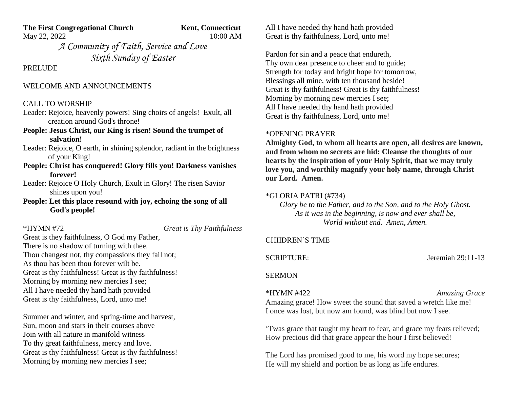**The First Congregational Church Kent, Connecticut** 

May 22, 2022 10:00 AM

*A Community of Faith, Service and Love Sixth Sunday of Easter*

**PRELUDE** 

## WELCOME AND ANNOUNCEMENTS

### CALL TO WORSHIP

Leader: Rejoice, heavenly powers! Sing choirs of angels! Exult, all creation around God's throne!

# **People: Jesus Christ, our King is risen! Sound the trumpet of salvation!**

Leader: Rejoice, O earth, in shining splendor, radiant in the brightness of your King!

- **People: Christ has conquered! Glory fills you! Darkness vanishes forever!**
- Leader: Rejoice O Holy Church, Exult in Glory! The risen Savior shines upon you!

**People: Let this place resound with joy, echoing the song of all God's people!**

\*HYMN #72 *Great is Thy Faithfulness*

Great is they faithfulness, O God my Father, There is no shadow of turning with thee. Thou changest not, thy compassions they fail not; As thou has been thou forever wilt be. Great is thy faithfulness! Great is thy faithfulness! Morning by morning new mercies I see; All I have needed thy hand hath provided Great is thy faithfulness, Lord, unto me!

Summer and winter, and spring-time and harvest, Sun, moon and stars in their courses above Join with all nature in manifold witness To thy great faithfulness, mercy and love. Great is thy faithfulness! Great is thy faithfulness! Morning by morning new mercies I see;

All I have needed thy hand hath provided Great is thy faithfulness, Lord, unto me!

Pardon for sin and a peace that endureth, Thy own dear presence to cheer and to guide; Strength for today and bright hope for tomorrow, Blessings all mine, with ten thousand beside! Great is thy faithfulness! Great is thy faithfulness! Morning by morning new mercies I see; All I have needed thy hand hath provided Great is thy faithfulness, Lord, unto me!

# \*OPENING PRAYER

**Almighty God, to whom all hearts are open, all desires are known, and from whom no secrets are hid: Cleanse the thoughts of our hearts by the inspiration of your Holy Spirit, that we may truly love you, and worthily magnify your holy name, through Christ our Lord. Amen.**

#### \*GLORIA PATRI (#734)

*Glory be to the Father, and to the Son, and to the Holy Ghost. As it was in the beginning, is now and ever shall be, World without end. Amen, Amen.*

## CHIIDREN'S TIME

SCRIPTURE: Jeremiah 29:11-13

#### SERMON

\*HYMN #422 *Amazing Grace*

Amazing grace! How sweet the sound that saved a wretch like me! I once was lost, but now am found, was blind but now I see.

'Twas grace that taught my heart to fear, and grace my fears relieved; How precious did that grace appear the hour I first believed!

The Lord has promised good to me, his word my hope secures; He will my shield and portion be as long as life endures.